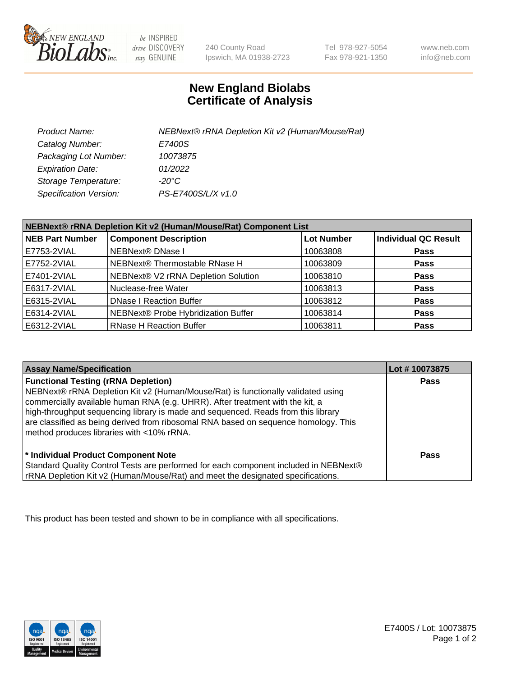

 $be$  INSPIRED drive DISCOVERY stay GENUINE

240 County Road Ipswich, MA 01938-2723 Tel 978-927-5054 Fax 978-921-1350

www.neb.com info@neb.com

## **New England Biolabs Certificate of Analysis**

| Product Name:                 | NEBNext® rRNA Depletion Kit v2 (Human/Mouse/Rat) |
|-------------------------------|--------------------------------------------------|
| Catalog Number:               | E7400S                                           |
| Packaging Lot Number:         | 10073875                                         |
| <b>Expiration Date:</b>       | 01/2022                                          |
| Storage Temperature:          | -20°C                                            |
| <b>Specification Version:</b> | PS-E7400S/L/X v1.0                               |

| NEBNext® rRNA Depletion Kit v2 (Human/Mouse/Rat) Component List |                                     |                   |                             |
|-----------------------------------------------------------------|-------------------------------------|-------------------|-----------------------------|
| <b>NEB Part Number</b>                                          | <b>Component Description</b>        | <b>Lot Number</b> | <b>Individual QC Result</b> |
| E7753-2VIAL                                                     | <b>NEBNext® DNase I</b>             | 10063808          | <b>Pass</b>                 |
| E7752-2VIAL                                                     | NEBNext® Thermostable RNase H       | 10063809          | <b>Pass</b>                 |
| E7401-2VIAL                                                     | NEBNext® V2 rRNA Depletion Solution | 10063810          | <b>Pass</b>                 |
| E6317-2VIAL                                                     | Nuclease-free Water                 | 10063813          | <b>Pass</b>                 |
| E6315-2VIAL                                                     | <b>DNase I Reaction Buffer</b>      | 10063812          | <b>Pass</b>                 |
| E6314-2VIAL                                                     | NEBNext® Probe Hybridization Buffer | 10063814          | <b>Pass</b>                 |
| E6312-2VIAL                                                     | <b>RNase H Reaction Buffer</b>      | 10063811          | <b>Pass</b>                 |

| <b>Assay Name/Specification</b>                                                                                                                                                                                                                                                                                                                                                                                                          | Lot #10073875 |
|------------------------------------------------------------------------------------------------------------------------------------------------------------------------------------------------------------------------------------------------------------------------------------------------------------------------------------------------------------------------------------------------------------------------------------------|---------------|
| <b>Functional Testing (rRNA Depletion)</b><br>NEBNext® rRNA Depletion Kit v2 (Human/Mouse/Rat) is functionally validated using<br>commercially available human RNA (e.g. UHRR). After treatment with the kit, a<br>high-throughput sequencing library is made and sequenced. Reads from this library<br>are classified as being derived from ribosomal RNA based on sequence homology. This<br>method produces libraries with <10% rRNA. | Pass          |
| * Individual Product Component Note<br>Standard Quality Control Tests are performed for each component included in NEBNext®<br>rRNA Depletion Kit v2 (Human/Mouse/Rat) and meet the designated specifications.                                                                                                                                                                                                                           | Pass          |

This product has been tested and shown to be in compliance with all specifications.